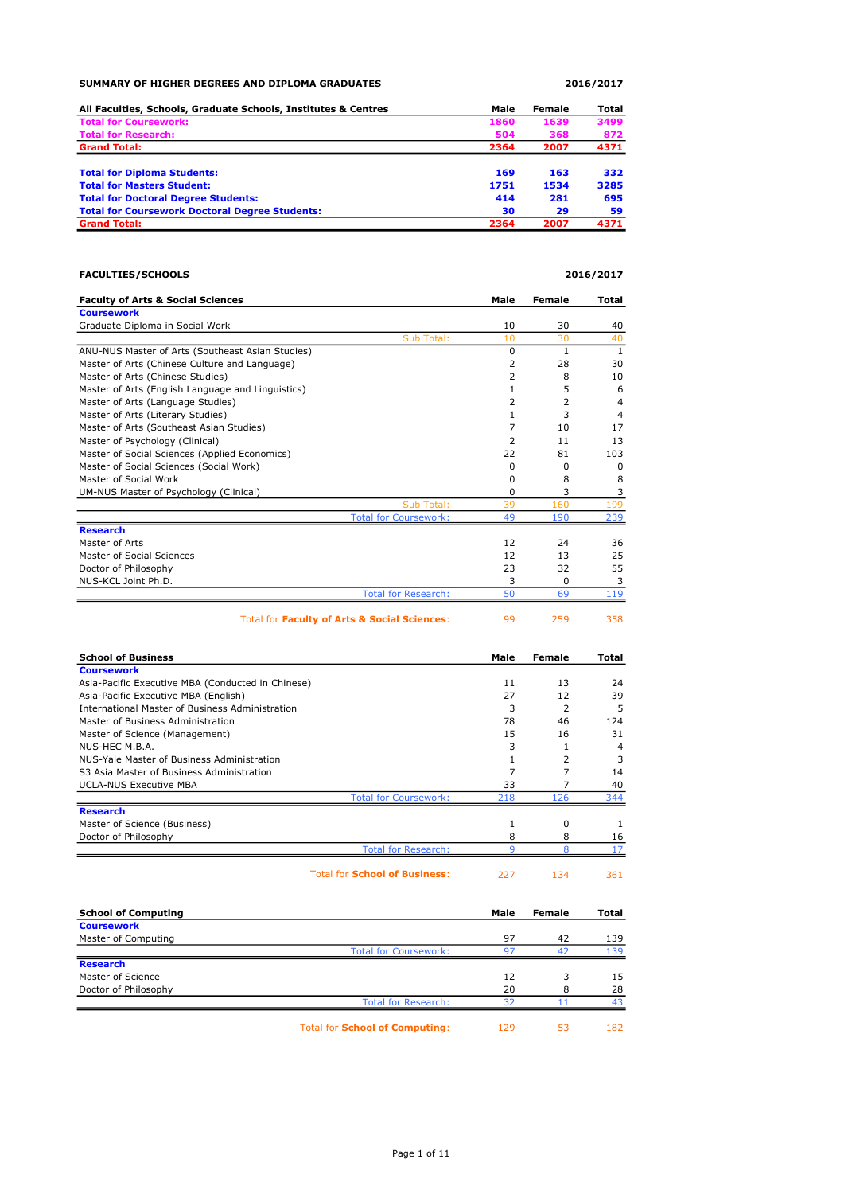| SUMMARY OF HIGHER DEGREES AND DIPLOMA GRADUATES                |      | 2016/2017 |       |
|----------------------------------------------------------------|------|-----------|-------|
| All Faculties, Schools, Graduate Schools, Institutes & Centres | Male | Female    | Total |
| <b>Total for Coursework:</b>                                   | 1860 | 1639      | 3499  |
| <b>Total for Research:</b>                                     | 504  | 368       | 872   |
| <b>Grand Total:</b>                                            | 2364 | 2007      | 4371  |
| <b>Total for Diploma Students:</b>                             | 169  | 163       | 332   |
| <b>Total for Masters Student:</b>                              | 1751 | 1534      | 3285  |
| <b>Total for Doctoral Degree Students:</b>                     | 414  | 281       | 695   |
| <b>Total for Coursework Doctoral Degree Students:</b>          | 30   | 29        | 59    |
| <b>Grand Total:</b>                                            | 2364 | 2007      | 4371  |

| <b>FACULTIES/SCHOOLS</b> | 2016/2017 |
|--------------------------|-----------|
|                          |           |

| <b>Faculty of Arts &amp; Social Sciences</b>      |                              | Male | <b>Female</b> | Total          |
|---------------------------------------------------|------------------------------|------|---------------|----------------|
| <b>Coursework</b>                                 |                              |      |               |                |
| Graduate Diploma in Social Work                   |                              | 10   | 30            | 40             |
|                                                   | Sub Total:                   | 10   | 30            | 40             |
| ANU-NUS Master of Arts (Southeast Asian Studies)  |                              | 0    | 1             | $\mathbf{1}$   |
| Master of Arts (Chinese Culture and Language)     |                              | 2    | 28            | 30             |
| Master of Arts (Chinese Studies)                  |                              | 2    | 8             | 10             |
| Master of Arts (English Language and Linguistics) |                              |      | 5             | 6              |
| Master of Arts (Language Studies)                 |                              | 2    | 2             | 4              |
| Master of Arts (Literary Studies)                 |                              | 1    | 3             | $\overline{4}$ |
| Master of Arts (Southeast Asian Studies)          |                              | 7    | 10            | 17             |
| Master of Psychology (Clinical)                   |                              | 2    | 11            | 13             |
| Master of Social Sciences (Applied Economics)     |                              | 22   | 81            | 103            |
| Master of Social Sciences (Social Work)           |                              | 0    | 0             | $\Omega$       |
| Master of Social Work                             |                              | 0    | 8             | 8              |
| UM-NUS Master of Psychology (Clinical)            |                              | 0    | 3             | 3              |
|                                                   | Sub Total:                   | 39   | 160           | 199            |
|                                                   | <b>Total for Coursework:</b> | 49   | 190           | 239            |
| <b>Research</b>                                   |                              |      |               |                |
| Master of Arts                                    |                              | 12   | 24            | 36             |
| Master of Social Sciences                         |                              | 12   | 13            | 25             |
| Doctor of Philosophy                              |                              | 23   | 32            | 55             |
| NUS-KCL Joint Ph.D.                               |                              | 3    | 0             | 3              |
|                                                   | <b>Total for Research:</b>   | 50   | 69            | 119            |
|                                                   |                              |      |               |                |
| Total for Faculty of Arts & Social Sciences:      |                              | 99   | 259           | 358            |

| <b>School of Business</b>                         |                                      | Male | Female   | Total          |
|---------------------------------------------------|--------------------------------------|------|----------|----------------|
| <b>Coursework</b>                                 |                                      |      |          |                |
| Asia-Pacific Executive MBA (Conducted in Chinese) |                                      | 11   | 13       | 24             |
| Asia-Pacific Executive MBA (English)              |                                      | 27   | 12       | 39             |
| International Master of Business Administration   |                                      | 3    | 2        | 5              |
| Master of Business Administration                 |                                      | 78   | 46       | 124            |
| Master of Science (Management)                    |                                      | 15   | 16       | 31             |
| NUS-HEC M.B.A.                                    |                                      | 3    |          | $\overline{a}$ |
| NUS-Yale Master of Business Administration        |                                      |      | 2        | 3              |
| S3 Asia Master of Business Administration         |                                      | 7    |          | 14             |
| <b>UCLA-NUS Executive MBA</b>                     |                                      | 33   |          | 40             |
|                                                   | <b>Total for Coursework:</b>         | 218  | 126      | 344            |
| <b>Research</b>                                   |                                      |      |          |                |
| Master of Science (Business)                      |                                      |      | $\Omega$ |                |
| Doctor of Philosophy                              |                                      | 8    | 8        | 16             |
|                                                   | <b>Total for Research:</b>           |      |          |                |
|                                                   |                                      |      |          |                |
|                                                   | <b>Total for School of Business:</b> | 227  | 134      | 361            |

| <b>School of Computing</b> |                                       | Male | Female | Total |
|----------------------------|---------------------------------------|------|--------|-------|
| <b>Coursework</b>          |                                       |      |        |       |
| Master of Computing        |                                       | 97   | 42     | 139   |
|                            | <b>Total for Coursework:</b>          | 97   | 42     | 139   |
| <b>Research</b>            |                                       |      |        |       |
| Master of Science          |                                       | 12   | 3      | 15    |
| Doctor of Philosophy       |                                       | 20   | 8      | 28    |
|                            | <b>Total for Research:</b>            | 32   |        | 43    |
|                            | <b>Total for School of Computing:</b> | 129  | 53     | 182   |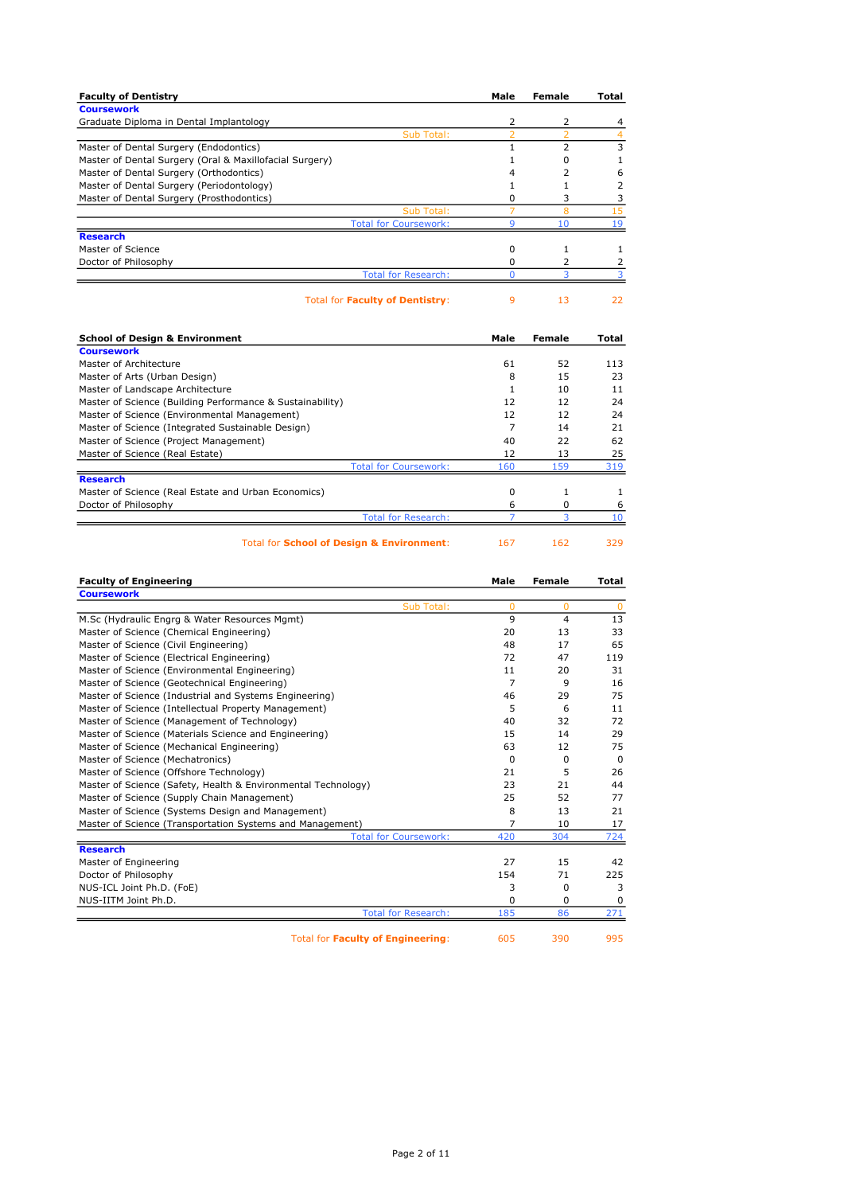| <b>Faculty of Dentistry</b>                             | Male | Female         | Total |
|---------------------------------------------------------|------|----------------|-------|
| <b>Coursework</b>                                       |      |                |       |
| Graduate Diploma in Dental Implantology                 | 2    | 2              | 4     |
| Sub Total:                                              |      |                |       |
| Master of Dental Surgery (Endodontics)                  |      | $\overline{2}$ | 3     |
| Master of Dental Surgery (Oral & Maxillofacial Surgery) |      | o              |       |
| Master of Dental Surgery (Orthodontics)                 | 4    |                | 6     |
| Master of Dental Surgery (Periodontology)               |      |                |       |
| Master of Dental Surgery (Prosthodontics)               | 0    | 3              |       |
| Sub Total:                                              |      | 8              | 15    |
| <b>Total for Coursework:</b>                            | q    | 10             | 19    |
| <b>Research</b>                                         |      |                |       |
| Master of Science                                       | 0    |                |       |
| Doctor of Philosophy                                    | 0    | 2              |       |
| <b>Total for Research:</b>                              |      |                |       |
| <b>Total for Faculty of Dentistry:</b>                  | 9    | 13             | 22    |
| School of Desian & Environment                          | Male | Fomalo         | Total |

| <b>School of Design &amp; Environment</b>                 |                              | Male | Female | Total |
|-----------------------------------------------------------|------------------------------|------|--------|-------|
| <b>Coursework</b>                                         |                              |      |        |       |
| Master of Architecture                                    |                              | 61   | 52     | 113   |
| Master of Arts (Urban Design)                             |                              | 8    | 15     | 23    |
| Master of Landscape Architecture                          |                              |      | 10     | 11    |
| Master of Science (Building Performance & Sustainability) |                              | 12   | 12     | 24    |
| Master of Science (Environmental Management)              |                              | 12   | 12     | 24    |
| Master of Science (Integrated Sustainable Design)         |                              |      | 14     | 21    |
| Master of Science (Project Management)                    |                              | 40   | 22     | 62    |
| Master of Science (Real Estate)                           |                              | 12   | 13     | 25    |
|                                                           | <b>Total for Coursework:</b> | 160  | 159    | 319   |
| <b>Research</b>                                           |                              |      |        |       |
| Master of Science (Real Estate and Urban Economics)       |                              | 0    |        |       |
| Doctor of Philosophy                                      |                              | 6    | 0      | 6     |
|                                                           | <b>Total for Research:</b>   |      |        |       |
|                                                           |                              |      |        |       |

Total for **School of Design & Environment:** 167 162 329

| <b>Faculty of Engineering</b>                                 | Male     | Female         | Total    |
|---------------------------------------------------------------|----------|----------------|----------|
| <b>Coursework</b>                                             |          |                |          |
| Sub Total:                                                    | $\Omega$ | 0              | $\Omega$ |
| M.Sc (Hydraulic Engrg & Water Resources Mgmt)                 | 9        | $\overline{4}$ | 13       |
| Master of Science (Chemical Engineering)                      | 20       | 13             | 33       |
| Master of Science (Civil Engineering)                         | 48       | 17             | 65       |
| Master of Science (Electrical Engineering)                    | 72       | 47             | 119      |
| Master of Science (Environmental Engineering)                 | 11       | 20             | 31       |
| Master of Science (Geotechnical Engineering)                  | 7        | 9              | 16       |
| Master of Science (Industrial and Systems Engineering)        | 46       | 29             | 75       |
| Master of Science (Intellectual Property Management)          | 5        | 6              | 11       |
| Master of Science (Management of Technology)                  | 40       | 32             | 72       |
| Master of Science (Materials Science and Engineering)         | 15       | 14             | 29       |
| Master of Science (Mechanical Engineering)                    | 63       | 12             | 75       |
| Master of Science (Mechatronics)                              | $\Omega$ | $\Omega$       | $\Omega$ |
| Master of Science (Offshore Technology)                       | 21       | 5              | 26       |
| Master of Science (Safety, Health & Environmental Technology) | 23       | 21             | 44       |
| Master of Science (Supply Chain Management)                   | 25       | 52             | 77       |
| Master of Science (Systems Design and Management)             | 8        | 13             | 21       |
| Master of Science (Transportation Systems and Management)     | 7        | 10             | 17       |
| <b>Total for Coursework:</b>                                  | 420      | 304            | 724      |
| <b>Research</b>                                               |          |                |          |
| Master of Engineering                                         | 27       | 15             | 42       |
| Doctor of Philosophy                                          | 154      | 71             | 225      |
| NUS-ICL Joint Ph.D. (FoE)                                     | 3        | $\Omega$       | 3        |
| NUS-IITM Joint Ph.D.                                          | 0        | 0              | $\Omega$ |
| <b>Total for Research:</b>                                    | 185      | 86             | 271      |

Total for Faculty of Engineering: 605 390 995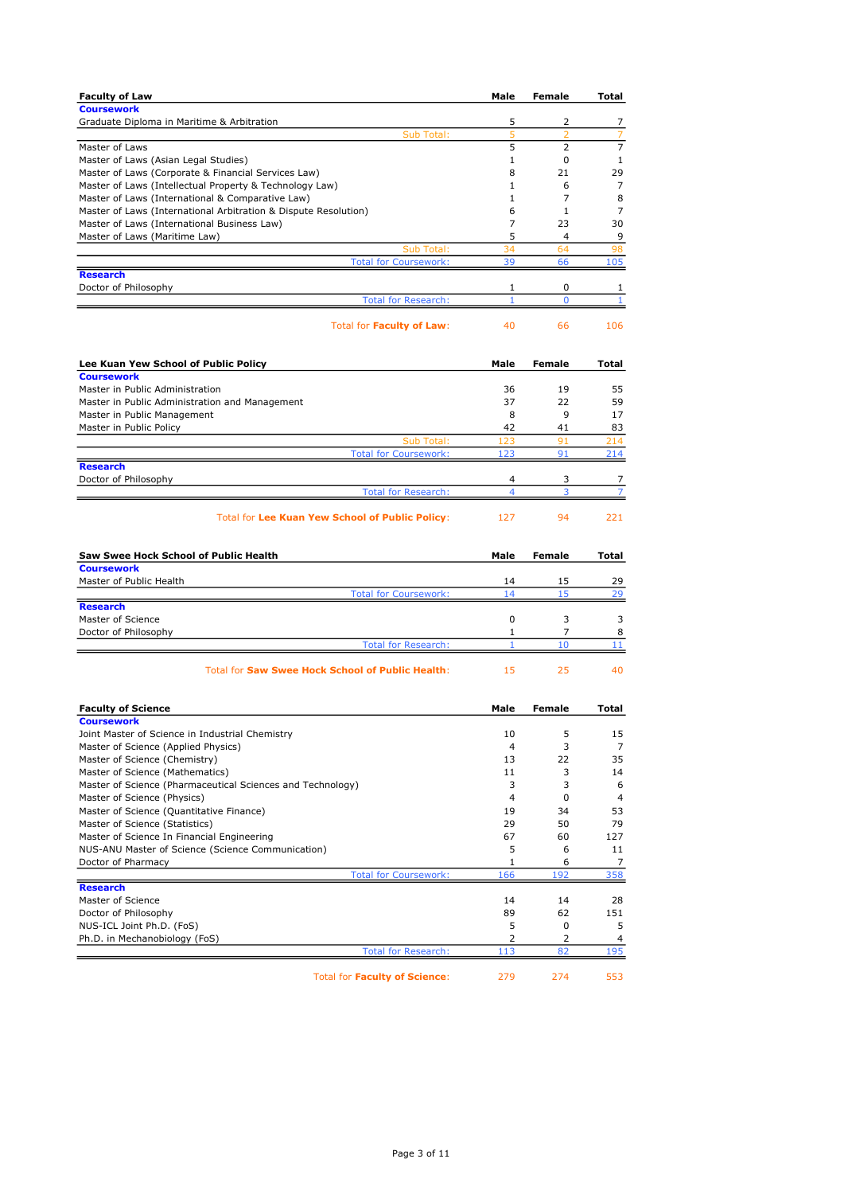| <b>Faculty of Law</b>                                                                                          | Male         | Female               | Total              |
|----------------------------------------------------------------------------------------------------------------|--------------|----------------------|--------------------|
| <b>Coursework</b>                                                                                              |              |                      |                    |
| Graduate Diploma in Maritime & Arbitration<br>Sub Total:                                                       | 5<br>5       | 2<br>$\overline{2}$  | 7<br>7             |
| Master of Laws                                                                                                 | 5            | $\overline{2}$       | $\overline{7}$     |
| Master of Laws (Asian Legal Studies)                                                                           | 1            | 0                    | $\mathbf{1}$       |
| Master of Laws (Corporate & Financial Services Law)                                                            | 8            | 21                   | 29                 |
| Master of Laws (Intellectual Property & Technology Law)                                                        | 1            | 6                    | 7                  |
| Master of Laws (International & Comparative Law)                                                               | 1            | 7                    | 8                  |
| Master of Laws (International Arbitration & Dispute Resolution)<br>Master of Laws (International Business Law) | 6<br>7       | 1<br>23              | 7<br>30            |
| Master of Laws (Maritime Law)                                                                                  | 5            | 4                    | 9                  |
| Sub Total:                                                                                                     | 34           | 64                   | 98                 |
| <b>Total for Coursework:</b>                                                                                   | 39           | 66                   | 105                |
| <b>Research</b>                                                                                                |              |                      |                    |
| Doctor of Philosophy<br><b>Total for Research:</b>                                                             | 1<br>1       | 0<br>0               | 1<br>1             |
|                                                                                                                |              |                      |                    |
| Total for Faculty of Law:                                                                                      | 40           | 66                   | 106                |
| Lee Kuan Yew School of Public Policy                                                                           | Male         | Female               | Total              |
| <b>Coursework</b><br>Master in Public Administration                                                           | 36           | 19                   | 55                 |
| Master in Public Administration and Management                                                                 | 37           | 22                   | 59                 |
| Master in Public Management                                                                                    | 8            | 9                    | 17                 |
| Master in Public Policy                                                                                        | 42           | 41                   | 83                 |
| Sub Total:                                                                                                     | 123          | 91                   | 214                |
| <b>Total for Coursework:</b>                                                                                   | 123          | 91                   | 214                |
| <b>Research</b><br>Doctor of Philosophy                                                                        | 4            | 3                    | 7                  |
| <b>Total for Research:</b>                                                                                     | 4            | 3                    | 7                  |
| <b>Total for Lee Kuan Yew School of Public Policy:</b>                                                         | 127          | 94                   | 221                |
|                                                                                                                |              |                      |                    |
| Saw Swee Hock School of Public Health<br><b>Coursework</b>                                                     | Male         | Female               | Total              |
| Master of Public Health                                                                                        | 14           | 15                   | 29                 |
| <b>Total for Coursework:</b>                                                                                   | 14           | 15                   | 29                 |
| <b>Research</b>                                                                                                |              |                      |                    |
| Master of Science                                                                                              | 0            | 3                    | 3                  |
| Doctor of Philosophy<br><b>Total for Research:</b>                                                             | 1<br>1       | $\overline{7}$<br>10 | 8<br>11            |
| <b>Total for Saw Swee Hock School of Public Health:</b>                                                        | 15           | 25                   | 40                 |
| <b>Faculty of Science</b>                                                                                      | Male         | Female               | Total              |
| <b>Coursework</b>                                                                                              |              |                      |                    |
| Joint Master of Science in Industrial Chemistry                                                                | 10           | 5                    | 15                 |
| Master of Science (Applied Physics)                                                                            | 4            | 3                    | 7                  |
| Master of Science (Chemistry)                                                                                  | 13<br>11     | 22                   | 35                 |
| Master of Science (Mathematics)<br>Master of Science (Pharmaceutical Sciences and Technology)                  | 3            | 3<br>3               | 14<br>6            |
| Master of Science (Physics)                                                                                    | 4            | 0                    | 4                  |
| Master of Science (Quantitative Finance)                                                                       | 19           | 34                   | 53                 |
| Master of Science (Statistics)                                                                                 | 29           | 50                   | 79                 |
| Master of Science In Financial Engineering                                                                     | 67           | 60                   | 127                |
| NUS-ANU Master of Science (Science Communication)                                                              | 5            | 6                    | 11                 |
| Doctor of Pharmacy                                                                                             | $\mathbf{1}$ | 6                    | 7                  |
| <b>Total for Coursework:</b><br><b>Research</b>                                                                | 166          | 192                  | 358                |
| Master of Science                                                                                              | 14           | 14                   | 28                 |
| Doctor of Philosophy                                                                                           | 89           | 62                   | 151                |
| NUS-ICL Joint Ph.D. (FoS)                                                                                      | 5            | 0                    | 5                  |
| Ph.D. in Mechanobiology (FoS)                                                                                  | 2            | 2                    | 4                  |
| <b>Total for Research:</b><br><b>Total for Faculty of Science:</b>                                             | 113<br>279   | 82<br>274            | <u> 195</u><br>553 |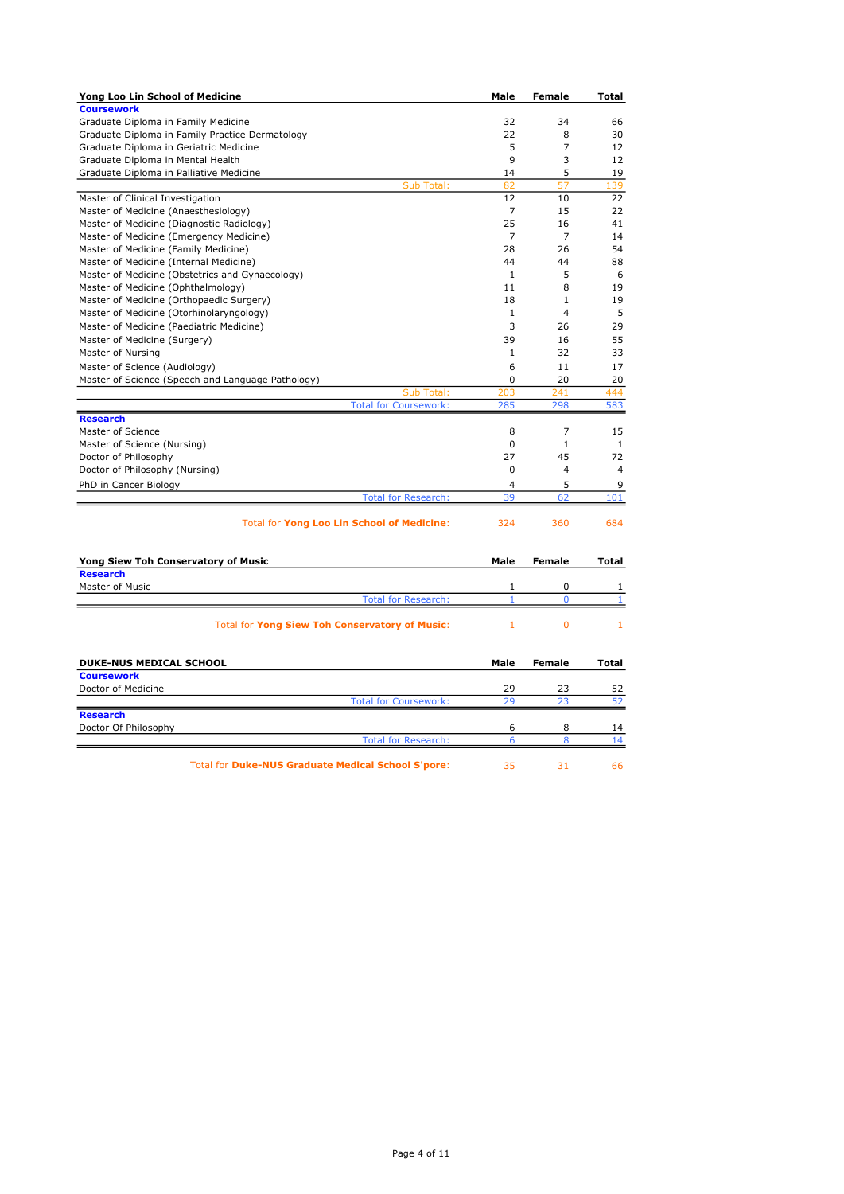| Yong Loo Lin School of Medicine                           | Male         | <b>Female</b>    | Total        |
|-----------------------------------------------------------|--------------|------------------|--------------|
| <b>Coursework</b>                                         |              |                  |              |
| Graduate Diploma in Family Medicine                       | 32           | 34               | 66           |
| Graduate Diploma in Family Practice Dermatology           | 22           | 8                | 30           |
| Graduate Diploma in Geriatric Medicine                    | 5            | $\overline{7}$   | 12           |
| Graduate Diploma in Mental Health                         | 9            | 3                | 12           |
| Graduate Diploma in Palliative Medicine                   | 14           | 5                | 19           |
| Sub Total:                                                | 82           | 57               | 139          |
| Master of Clinical Investigation                          | 12           | 10               | 22           |
| Master of Medicine (Anaesthesiology)                      | 7            | 15               | 22           |
| Master of Medicine (Diagnostic Radiology)                 | 25           | 16               | 41           |
| Master of Medicine (Emergency Medicine)                   | 7            | $\overline{7}$   | 14           |
| Master of Medicine (Family Medicine)                      | 28           | 26               | 54           |
| Master of Medicine (Internal Medicine)                    | 44           | 44               | 88           |
| Master of Medicine (Obstetrics and Gynaecology)           | 1            | 5                | 6            |
| Master of Medicine (Ophthalmology)                        | 11           | 8                | 19           |
| Master of Medicine (Orthopaedic Surgery)                  | 18           | 1                | 19           |
| Master of Medicine (Otorhinolaryngology)                  | $\mathbf{1}$ | $\overline{4}$   | 5            |
| Master of Medicine (Paediatric Medicine)                  | 3            | 26               | 29           |
| Master of Medicine (Surgery)                              | 39           | 16               | 55           |
| Master of Nursing                                         | $\mathbf{1}$ | 32               | 33           |
| Master of Science (Audiology)                             | 6            | 11               | 17           |
| Master of Science (Speech and Language Pathology)         | 0            | 20               | 20           |
| Sub Total:                                                | 203          | 241              | 444          |
| <b>Total for Coursework:</b>                              | 285          | 298              | 583          |
| <b>Research</b>                                           |              |                  |              |
| Master of Science                                         | 8            | $\overline{7}$   | 15           |
| Master of Science (Nursing)                               | 0            | $\mathbf{1}$     | $\mathbf{1}$ |
| Doctor of Philosophy                                      | 27           | 45               | 72           |
| Doctor of Philosophy (Nursing)                            | 0            | $\overline{4}$   | 4            |
| PhD in Cancer Biology                                     | 4            | 5                | 9            |
| <b>Total for Research:</b>                                | 39           | 62               | 101          |
| Total for Yong Loo Lin School of Medicine:                | 324          | 360              | 684          |
| Yong Siew Toh Conservatory of Music                       | Male         | <b>Female</b>    | Total        |
| <b>Research</b>                                           |              |                  |              |
| Master of Music<br><b>Total for Research:</b>             | 1<br>1       | 0<br>$\mathbf 0$ | 1<br>1       |
|                                                           |              |                  |              |
| <b>Total for Yong Siew Toh Conservatory of Music:</b>     | 1            | $\overline{0}$   | 1            |
| DUKE-NUS MEDICAL SCHOOL                                   | Male         | <b>Female</b>    | Total        |
| <b>Coursework</b>                                         |              |                  |              |
| Doctor of Medicine                                        | 29           | 23               | 52           |
| <b>Total for Coursework:</b>                              | 29           | 23               | 52           |
| <b>Research</b>                                           |              |                  |              |
| Doctor Of Philosophy                                      | 6<br>6       | 8<br>8           | 14<br>14     |
| <b>Total for Research:</b>                                |              |                  |              |
| <b>Total for Duke-NUS Graduate Medical School S'pore:</b> | 35           | 31               | 66           |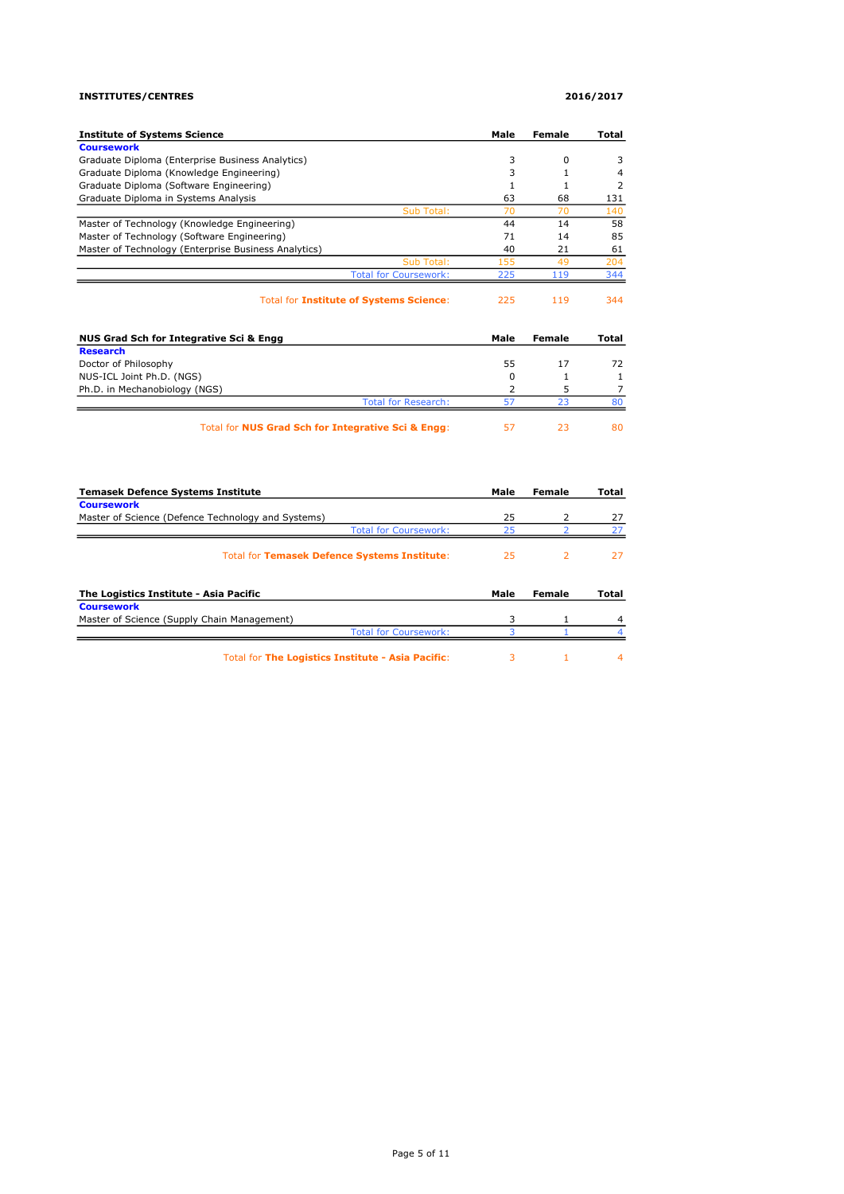### INSTITUTES/CENTRES 2016/2017

| <b>Institute of Systems Science</b>                  | Male           | <b>Female</b>  | Total          |
|------------------------------------------------------|----------------|----------------|----------------|
| <b>Coursework</b>                                    |                |                |                |
| Graduate Diploma (Enterprise Business Analytics)     | 3              | 0              | 3              |
| Graduate Diploma (Knowledge Engineering)             | 3              | $\mathbf{1}$   | 4              |
| Graduate Diploma (Software Engineering)              | $\mathbf{1}$   | $\mathbf{1}$   | 2              |
| Graduate Diploma in Systems Analysis                 | 63             | 68             | 131            |
| Sub Total:                                           | 70             | 70             | 140            |
| Master of Technology (Knowledge Engineering)         | 44             | 14             | 58             |
| Master of Technology (Software Engineering)          | 71             | 14             | 85             |
| Master of Technology (Enterprise Business Analytics) | 40             | 21             | 61             |
| Sub Total:                                           | 155            | 49             | 204            |
| <b>Total for Coursework:</b>                         | 225            | 119            | 344            |
| Total for Institute of Systems Science:              | 225            | 119            | 344            |
| NUS Grad Sch for Integrative Sci & Engg              | Male           | Female         | Total          |
| <b>Research</b>                                      |                |                |                |
| Doctor of Philosophy                                 | 55             | 17             | 72             |
| NUS-ICL Joint Ph.D. (NGS)                            | 0              | 1              | $\mathbf{1}$   |
| Ph.D. in Mechanobiology (NGS)                        | $\overline{2}$ | 5              | $\overline{7}$ |
| <b>Total for Research:</b>                           | 57             | 23             | 80             |
| Total for NUS Grad Sch for Integrative Sci & Engg:   | 57             | 23             | 80             |
| <b>Temasek Defence Systems Institute</b>             | Male           | Female         | Total          |
| <b>Coursework</b>                                    |                |                |                |
| Master of Science (Defence Technology and Systems)   | 25             | 2              | 27             |
| <b>Total for Coursework:</b>                         | 25             | $\overline{z}$ | 27             |
| Total for Temasek Defence Systems Institute:         | 25             | $\overline{2}$ | 27             |
| The Logistics Institute - Asia Pacific               | Male           | Female         | Total          |
| <b>Coursework</b>                                    |                |                |                |
| Master of Science (Supply Chain Management)          | 3              | 1              | 4              |
| <b>Total for Coursework:</b>                         | 3              | $\mathbf{1}$   | 4              |
| Total for The Logistics Institute - Asia Pacific:    | 3              | 1              | 4              |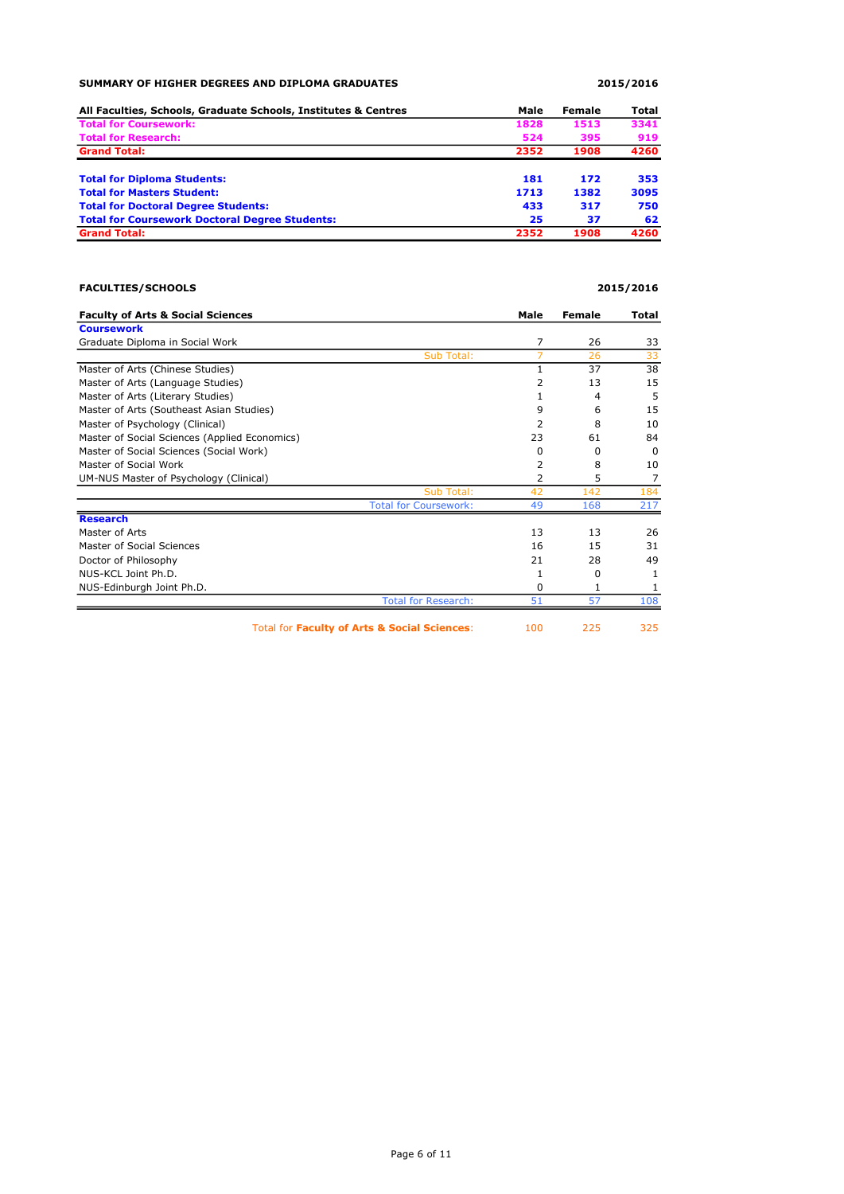# SUMMARY OF HIGHER DEGREES AND DIPLOMA GRADUATES 2015/2016

| All Faculties, Schools, Graduate Schools, Institutes & Centres | Male | Female | Total |
|----------------------------------------------------------------|------|--------|-------|
| <b>Total for Coursework:</b>                                   | 1828 | 1513   | 3341  |
| <b>Total for Research:</b>                                     | 524  | 395    | 919   |
| <b>Grand Total:</b>                                            | 2352 | 1908   | 4260  |
| <b>Total for Diploma Students:</b>                             | 181  | 172    | 353   |
| <b>Total for Masters Student:</b>                              | 1713 | 1382   | 3095  |
| <b>Total for Doctoral Degree Students:</b>                     | 433  | 317    | 750   |
| <b>Total for Coursework Doctoral Degree Students:</b>          | 25   | 37     | 62    |
| <b>Grand Total:</b>                                            | 2352 | 1908   | 4260  |

# FACULTIES/SCHOOLS 2015/2016

| <b>Faculty of Arts &amp; Social Sciences</b>  | Male | Female   | Total    |
|-----------------------------------------------|------|----------|----------|
| <b>Coursework</b>                             |      |          |          |
| Graduate Diploma in Social Work               | 7    | 26       | 33       |
| Sub Total:                                    | 7    | 26       | 33       |
| Master of Arts (Chinese Studies)              | 1    | 37       | 38       |
| Master of Arts (Language Studies)             | 2    | 13       | 15       |
| Master of Arts (Literary Studies)             |      | 4        | 5        |
| Master of Arts (Southeast Asian Studies)      | 9    | 6        | 15       |
| Master of Psychology (Clinical)               | 2    | 8        | 10       |
| Master of Social Sciences (Applied Economics) | 23   | 61       | 84       |
| Master of Social Sciences (Social Work)       | 0    | $\Omega$ | $\Omega$ |
| Master of Social Work                         | 2    | 8        | 10       |
| UM-NUS Master of Psychology (Clinical)        | 2    | 5        | 7        |
| Sub Total:                                    | 42   | 142      | 184      |
| <b>Total for Coursework:</b>                  | 49   | 168      | 217      |
| <b>Research</b>                               |      |          |          |
| Master of Arts                                | 13   | 13       | 26       |
| Master of Social Sciences                     | 16   | 15       | 31       |
| Doctor of Philosophy                          | 21   | 28       | 49       |
| NUS-KCL Joint Ph.D.                           | 1    | $\Omega$ | 1        |
| NUS-Edinburgh Joint Ph.D.                     | 0    | 1        | 1        |
| <b>Total for Research:</b>                    | 51   | 57       | 108      |
| Total for Faculty of Arts & Social Sciences:  | 100  | 225      | 325      |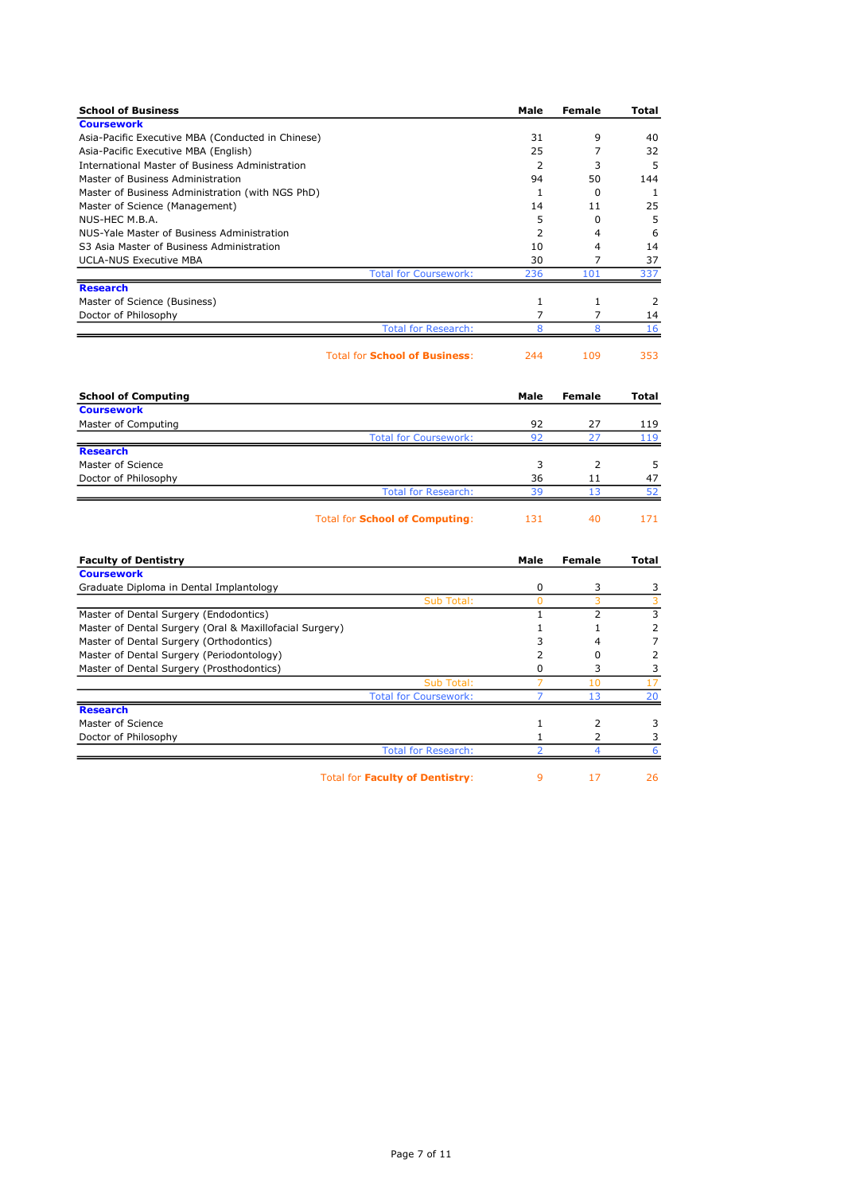| <b>School of Business</b>                               | Male           | Female         | Total          |
|---------------------------------------------------------|----------------|----------------|----------------|
| <b>Coursework</b>                                       |                |                |                |
| Asia-Pacific Executive MBA (Conducted in Chinese)       | 31             | 9              | 40             |
| Asia-Pacific Executive MBA (English)                    | 25             | 7              | 32             |
| International Master of Business Administration         | 2              | 3              | 5              |
| Master of Business Administration                       | 94             | 50             | 144            |
| Master of Business Administration (with NGS PhD)        | 1              | 0              | 1              |
| Master of Science (Management)                          | 14             | 11             | 25             |
| NUS-HEC M.B.A.                                          | 5              | $\Omega$       | 5              |
| NUS-Yale Master of Business Administration              | $\overline{2}$ | 4              | 6              |
| S3 Asia Master of Business Administration               | 10             | 4              | 14             |
| <b>UCLA-NUS Executive MBA</b>                           | 30             | 7              | 37             |
| <b>Total for Coursework:</b>                            | 236            | 101            | 337            |
| <b>Research</b>                                         | $\mathbf{1}$   | $\mathbf{1}$   |                |
| Master of Science (Business)                            |                |                | 2              |
| Doctor of Philosophy<br><b>Total for Research:</b>      | 7<br>8         | 7<br>8         | 14<br>16       |
|                                                         |                |                |                |
| <b>Total for School of Business:</b>                    | 244            | 109            | 353            |
| <b>School of Computing</b>                              | Male           | <b>Female</b>  | <b>Total</b>   |
| <b>Coursework</b>                                       |                |                |                |
| Master of Computing                                     | 92             | 27             | 119            |
| <b>Total for Coursework:</b>                            | 92             | 27             | 119            |
| <b>Research</b>                                         |                |                |                |
| Master of Science                                       | 3              | $\overline{2}$ | 5              |
| Doctor of Philosophy                                    | 36             | 11             | 47             |
| <b>Total for Research:</b>                              | 39             | 13             | 52             |
| <b>Total for School of Computing:</b>                   | 131            | 40             | 171            |
| <b>Faculty of Dentistry</b>                             | Male           | <b>Female</b>  | Total          |
| <b>Coursework</b>                                       |                |                |                |
| Graduate Diploma in Dental Implantology                 | 0              | 3              | 3              |
| Sub Total:                                              | $\mathbf{0}$   | 3              | $\overline{3}$ |
| Master of Dental Surgery (Endodontics)                  | $\mathbf{1}$   | 2              | 3              |
| Master of Dental Surgery (Oral & Maxillofacial Surgery) | 1              | 1              | $\overline{2}$ |
| Master of Dental Surgery (Orthodontics)                 | 3              | 4              | $\overline{7}$ |
| Master of Dental Surgery (Periodontology)               | $\overline{2}$ | 0              | $\overline{2}$ |
| Master of Dental Surgery (Prosthodontics)               | 0              | 3              | 3              |
| Sub Total:                                              | 7              | 10             | 17             |
| <b>Total for Coursework:</b>                            |                | 13             | 20             |
| <b>Research</b>                                         |                |                |                |
| Master of Science                                       | 1              | $\overline{2}$ | 3              |
| Doctor of Philosophy                                    | 1              | $\overline{2}$ | 3              |
| <b>Total for Research:</b>                              | $\overline{2}$ | 4              | 6              |
| Total for Faculty of Dentistry:                         | 9              | 17             | 26             |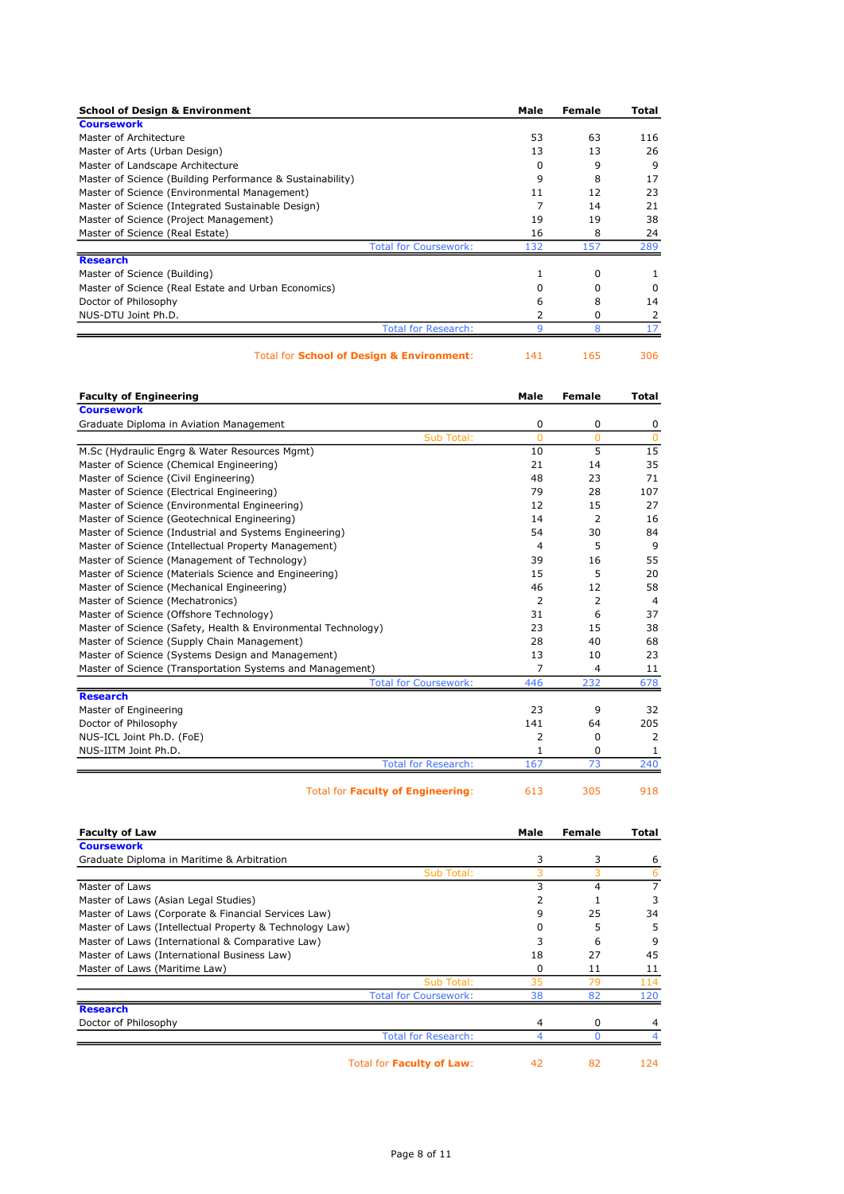| <b>School of Design &amp; Environment</b>                 |                              | Male | Female | Total |
|-----------------------------------------------------------|------------------------------|------|--------|-------|
| <b>Coursework</b>                                         |                              |      |        |       |
| Master of Architecture                                    |                              | 53   | 63     | 116   |
| Master of Arts (Urban Design)                             |                              | 13   | 13     | 26    |
| Master of Landscape Architecture                          |                              | 0    | 9      | 9     |
| Master of Science (Building Performance & Sustainability) |                              | 9    | 8      | 17    |
| Master of Science (Environmental Management)              |                              | 11   | 12     | 23    |
| Master of Science (Integrated Sustainable Design)         |                              |      | 14     | 21    |
| Master of Science (Project Management)                    |                              | 19   | 19     | 38    |
| Master of Science (Real Estate)                           |                              | 16   | 8      | 24    |
|                                                           | <b>Total for Coursework:</b> | 132  | 157    | 289   |
| <b>Research</b>                                           |                              |      |        |       |
| Master of Science (Building)                              |                              |      | 0      |       |
| Master of Science (Real Estate and Urban Economics)       |                              |      | 0      | 0     |
| Doctor of Philosophy                                      |                              | 6    | 8      | 14    |
| NUS-DTU Joint Ph.D.                                       |                              |      | 0      |       |
|                                                           | <b>Total for Research:</b>   |      | Զ      |       |
|                                                           |                              |      |        |       |

Total for **School of Design & Environment:** 141 165 306

| <b>Faculty of Engineering</b>                                 | Male           | <b>Female</b> | <b>Total</b>   |
|---------------------------------------------------------------|----------------|---------------|----------------|
| <b>Coursework</b>                                             |                |               |                |
| Graduate Diploma in Aviation Management                       | 0              | 0             | 0              |
| Sub Total:                                                    | $\overline{0}$ | $\Omega$      | $\Omega$       |
| M.Sc (Hydraulic Engrg & Water Resources Mgmt)                 | 10             | 5             | 15             |
| Master of Science (Chemical Engineering)                      | 21             | 14            | 35             |
| Master of Science (Civil Engineering)                         | 48             | 23            | 71             |
| Master of Science (Electrical Engineering)                    | 79             | 28            | 107            |
| Master of Science (Environmental Engineering)                 | 12             | 15            | 27             |
| Master of Science (Geotechnical Engineering)                  | 14             | 2             | 16             |
| Master of Science (Industrial and Systems Engineering)        | 54             | 30            | 84             |
| Master of Science (Intellectual Property Management)          | 4              | 5             | 9              |
| Master of Science (Management of Technology)                  | 39             | 16            | 55             |
| Master of Science (Materials Science and Engineering)         | 15             | 5             | 20             |
| Master of Science (Mechanical Engineering)                    | 46             | 12            | 58             |
| Master of Science (Mechatronics)                              | $\overline{2}$ | 2             | $\overline{4}$ |
| Master of Science (Offshore Technology)                       | 31             | 6             | 37             |
| Master of Science (Safety, Health & Environmental Technology) | 23             | 15            | 38             |
| Master of Science (Supply Chain Management)                   | 28             | 40            | 68             |
| Master of Science (Systems Design and Management)             | 13             | 10            | 23             |
| Master of Science (Transportation Systems and Management)     | 7              | 4             | 11             |
| <b>Total for Coursework:</b>                                  | 446            | 232           | 678            |
| <b>Research</b>                                               |                |               |                |
| Master of Engineering                                         | 23             | 9             | 32             |
| Doctor of Philosophy                                          | 141            | 64            | 205            |
| NUS-ICL Joint Ph.D. (FoE)                                     | $\overline{2}$ | 0             | 2              |
| NUS-IITM Joint Ph.D.                                          | 1              | 0             | 1              |
| <b>Total for Research:</b>                                    | 167            | 73            | 240            |
| Total for Faculty of Engineering:                             | 613            | 305           | 918            |

| Total for <b>Faculty of Engineering:</b> | 613 |  |
|------------------------------------------|-----|--|
|------------------------------------------|-----|--|

| <b>Faculty of Law</b>                                   | Male | Female | Total |
|---------------------------------------------------------|------|--------|-------|
| <b>Coursework</b>                                       |      |        |       |
| Graduate Diploma in Maritime & Arbitration              | 3    | 3      | 6     |
| Sub Total:                                              |      | 3      | 6     |
| Master of Laws                                          | 3    | 4      | 7     |
| Master of Laws (Asian Legal Studies)                    | 2    |        |       |
| Master of Laws (Corporate & Financial Services Law)     | 9    | 25     | 34    |
| Master of Laws (Intellectual Property & Technology Law) | 0    | 5      | 5     |
| Master of Laws (International & Comparative Law)        | 3    | 6      | 9     |
| Master of Laws (International Business Law)             | 18   | 27     | 45    |
| Master of Laws (Maritime Law)                           | 0    | 11     | 11    |
| Sub Total:                                              | 35   | 79     | 114   |
| <b>Total for Coursework:</b>                            | 38   | 82     | 120   |
| <b>Research</b>                                         |      |        |       |
| Doctor of Philosophy                                    | 4    | 0      | 4     |
| <b>Total for Research:</b>                              |      |        |       |
| Total for Faculty of Law:                               | 42   | 82     | 124   |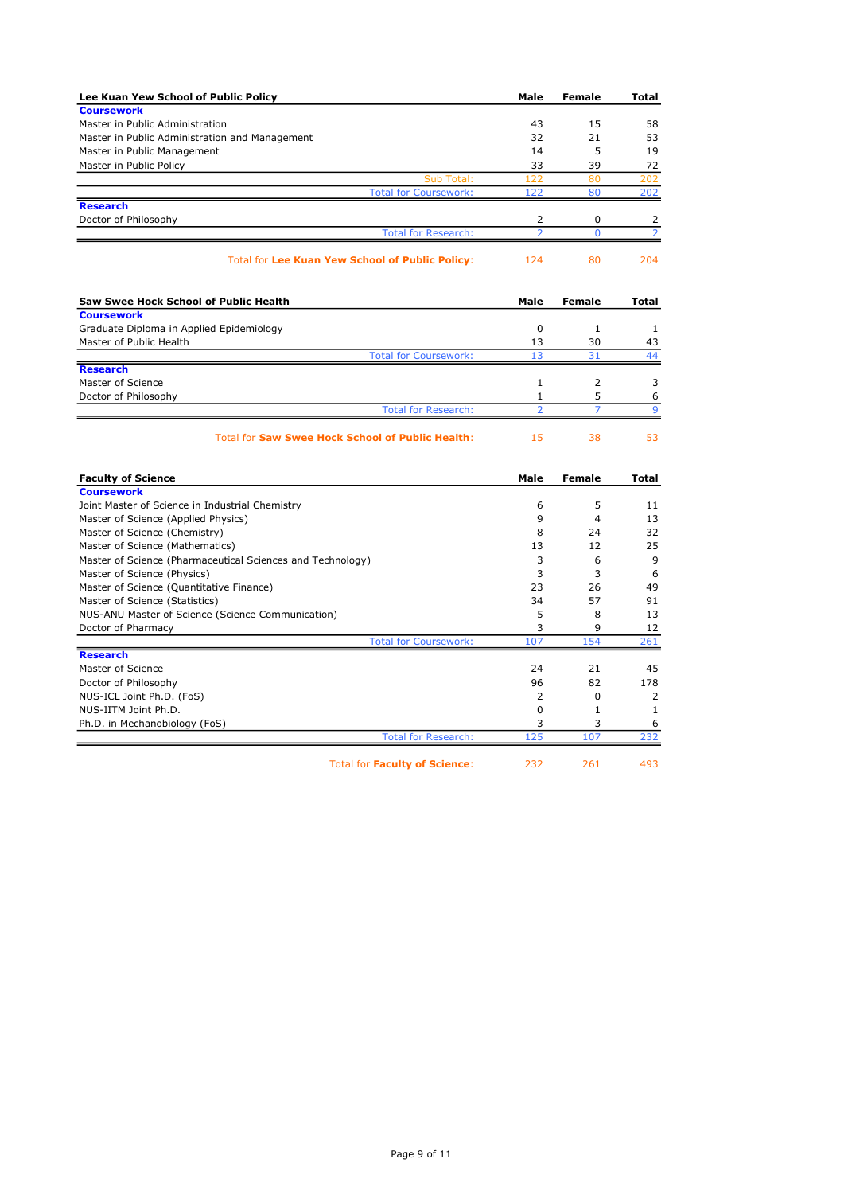| Lee Kuan Yew School of Public Policy                       | Male                          | Female              | Total               |
|------------------------------------------------------------|-------------------------------|---------------------|---------------------|
| <b>Coursework</b>                                          |                               |                     |                     |
| Master in Public Administration                            | 43                            | 15                  | 58                  |
| Master in Public Administration and Management             | 32                            | 21                  | 53                  |
| Master in Public Management                                | 14                            | 5                   | 19                  |
| Master in Public Policy                                    | 33                            | 39                  | 72                  |
| Sub Total:                                                 | 122                           | 80                  | 202                 |
| <b>Total for Coursework:</b>                               | 122                           | 80                  | 202                 |
| <b>Research</b>                                            |                               |                     |                     |
| Doctor of Philosophy<br><b>Total for Research:</b>         | 2<br>$\overline{a}$           | 0<br>$\overline{0}$ | 2<br>$\overline{2}$ |
|                                                            |                               |                     |                     |
| <b>Total for Lee Kuan Yew School of Public Policy:</b>     | 124                           | 80                  | 204                 |
| Saw Swee Hock School of Public Health                      | Male                          | Female              | Total               |
| <b>Coursework</b>                                          |                               |                     |                     |
| Graduate Diploma in Applied Epidemiology                   | $\mathbf 0$                   | 1                   | 1                   |
| Master of Public Health                                    | 13                            | 30                  | 43                  |
| <b>Total for Coursework:</b>                               | 13                            | 31                  | 44                  |
| <b>Research</b>                                            |                               |                     |                     |
| Master of Science                                          | $\mathbf{1}$                  | 2                   | 3                   |
| Doctor of Philosophy                                       | 1<br>$\overline{\phantom{a}}$ | 5<br>$\overline{7}$ | 6<br>$\mathbf{Q}$   |
| <b>Total for Research:</b>                                 |                               |                     |                     |
| <b>Total for Saw Swee Hock School of Public Health:</b>    | 15                            | 38                  | 53                  |
| <b>Faculty of Science</b>                                  | Male                          | <b>Female</b>       | <b>Total</b>        |
| <b>Coursework</b>                                          |                               |                     |                     |
| Joint Master of Science in Industrial Chemistry            | 6                             | 5                   | 11                  |
| Master of Science (Applied Physics)                        | 9                             | $\overline{4}$      | 13                  |
| Master of Science (Chemistry)                              | 8                             | 24                  | 32                  |
| Master of Science (Mathematics)                            | 13                            | 12                  | 25                  |
| Master of Science (Pharmaceutical Sciences and Technology) | 3                             | 6                   | 9                   |
| Master of Science (Physics)                                | 3                             | 3                   | 6                   |
| Master of Science (Quantitative Finance)                   | 23                            | 26                  | 49                  |
| Master of Science (Statistics)                             | 34                            | 57                  | 91                  |
| NUS-ANU Master of Science (Science Communication)          | 5                             | 8                   | 13                  |
| Doctor of Pharmacy                                         | 3                             | 9                   | 12                  |
| <b>Total for Coursework:</b>                               | 107                           | 154                 | 261                 |
| <b>Research</b>                                            |                               |                     |                     |
| Master of Science                                          | 24                            | 21                  | 45                  |
| Doctor of Philosophy                                       | 96                            | 82                  | 178                 |
| NUS-ICL Joint Ph.D. (FoS)                                  | $\overline{2}$                | $\Omega$            | $\overline{2}$      |
| NUS-IITM Joint Ph.D.                                       | $\Omega$                      | $\mathbf{1}$        | $\mathbf{1}$        |
| Ph.D. in Mechanobiology (FoS)                              | 3                             | 3                   | 6                   |
| <b>Total for Research:</b>                                 | 125                           | 107                 | 232                 |
| <b>Total for Faculty of Science:</b>                       | 232                           | 261                 | 493                 |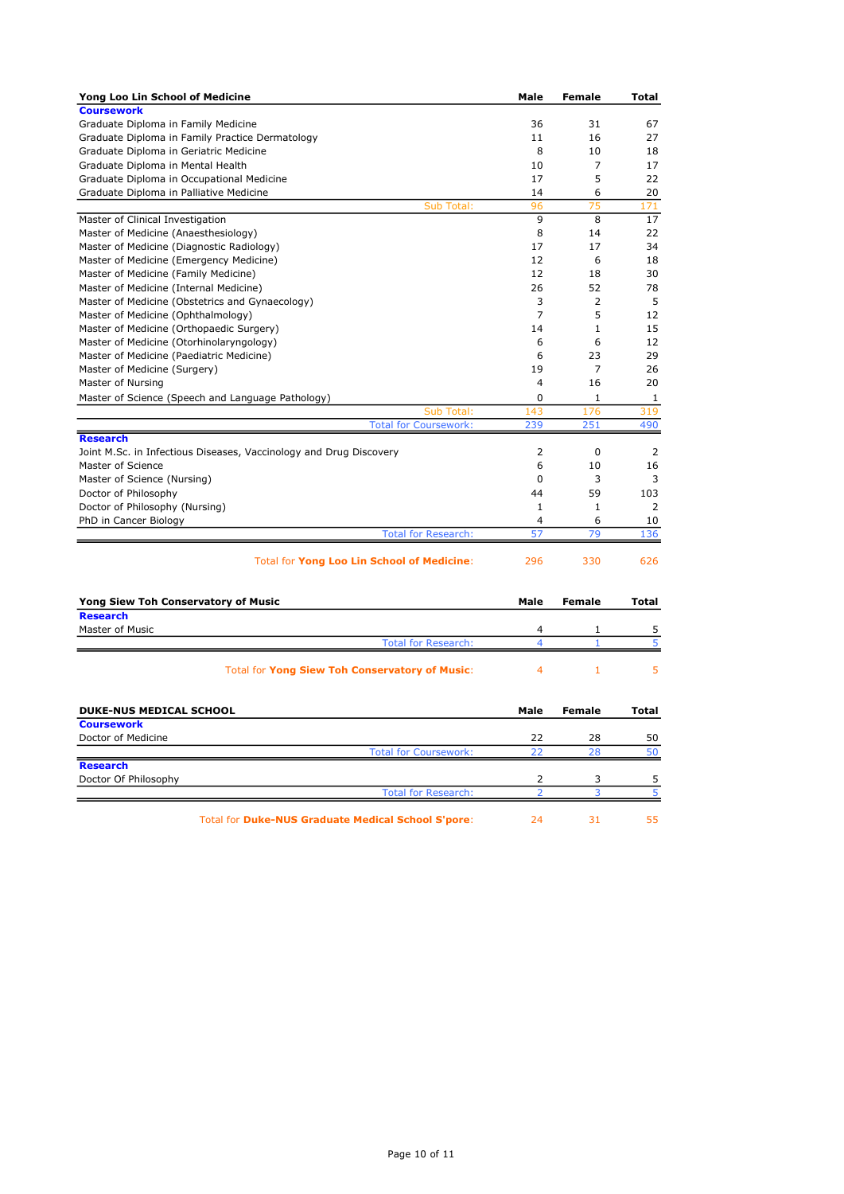| Yong Loo Lin School of Medicine                                                      | Male           | <b>Female</b> | <b>Total</b> |
|--------------------------------------------------------------------------------------|----------------|---------------|--------------|
| <b>Coursework</b>                                                                    |                |               |              |
| Graduate Diploma in Family Medicine                                                  | 36             | 31            | 67           |
| Graduate Diploma in Family Practice Dermatology                                      | 11             | 16            | 27           |
| Graduate Diploma in Geriatric Medicine                                               | 8              | 10            | 18           |
| Graduate Diploma in Mental Health                                                    | 10             | 7             | 17           |
| Graduate Diploma in Occupational Medicine                                            | 17             | 5             | 22           |
| Graduate Diploma in Palliative Medicine                                              | 14             | 6             | 20           |
| Sub Total:                                                                           | 96             | 75            | 171          |
| Master of Clinical Investigation                                                     | 9              | 8             | 17           |
| Master of Medicine (Anaesthesiology)                                                 | 8<br>17        | 14<br>17      | 22<br>34     |
| Master of Medicine (Diagnostic Radiology)<br>Master of Medicine (Emergency Medicine) | 12             | 6             | 18           |
| Master of Medicine (Family Medicine)                                                 | 12             | 18            | 30           |
| Master of Medicine (Internal Medicine)                                               | 26             | 52            | 78           |
| Master of Medicine (Obstetrics and Gynaecology)                                      | 3              | 2             | 5            |
| Master of Medicine (Ophthalmology)                                                   | $\overline{7}$ | 5             | 12           |
| Master of Medicine (Orthopaedic Surgery)                                             | 14             | $\mathbf 1$   | 15           |
| Master of Medicine (Otorhinolaryngology)                                             | 6              | 6             | 12           |
| Master of Medicine (Paediatric Medicine)                                             | 6              | 23            | 29           |
| Master of Medicine (Surgery)                                                         | 19             | 7             | 26           |
| Master of Nursing                                                                    | 4              | 16            | 20           |
| Master of Science (Speech and Language Pathology)                                    | 0              | 1             | 1            |
| Sub Total:                                                                           | 143            | 176           | 319          |
| <b>Total for Coursework:</b>                                                         | 239            | 251           | 490          |
| <b>Research</b>                                                                      |                |               |              |
| Joint M.Sc. in Infectious Diseases, Vaccinology and Drug Discovery                   | 2              | $\mathbf 0$   | 2            |
| Master of Science                                                                    | 6              | 10            | 16           |
| Master of Science (Nursing)                                                          | $\Omega$       | 3             | 3            |
| Doctor of Philosophy                                                                 | 44             | 59            | 103          |
| Doctor of Philosophy (Nursing)                                                       | $\mathbf{1}$   | $\mathbf{1}$  | 2            |
| PhD in Cancer Biology                                                                | 4              | 6             | 10           |
| <b>Total for Research:</b>                                                           | 57             | 79            | 136          |
| Total for Yong Loo Lin School of Medicine:                                           | 296            | 330           | 626          |
| <b>Yong Siew Toh Conservatory of Music</b>                                           | Male           | <b>Female</b> | Total        |
| <b>Research</b>                                                                      |                |               |              |
| Master of Music                                                                      | 4              | 1             | 5            |
| <b>Total for Research:</b>                                                           | 4              | $\mathbf{1}$  | 5            |
| <b>Total for Yong Siew Toh Conservatory of Music:</b>                                | $\overline{4}$ | $\mathbf{1}$  | 5            |
| <b>DUKE-NUS MEDICAL SCHOOL</b>                                                       | Male           | Female        | Total        |
| <b>Coursework</b>                                                                    |                |               |              |
| Doctor of Medicine                                                                   | 22             | 28            | 50           |
| <b>Total for Coursework:</b>                                                         | 22             | 28            | 50           |
| <b>Research</b><br>Doctor Of Philosophy                                              | 2              |               | 5            |
| <b>Total for Research:</b>                                                           | フ              | 3<br>3        | 5            |
|                                                                                      |                |               |              |
| Total for Duke-NUS Graduate Medical School S'pore:                                   | 24             | 31            | 55           |